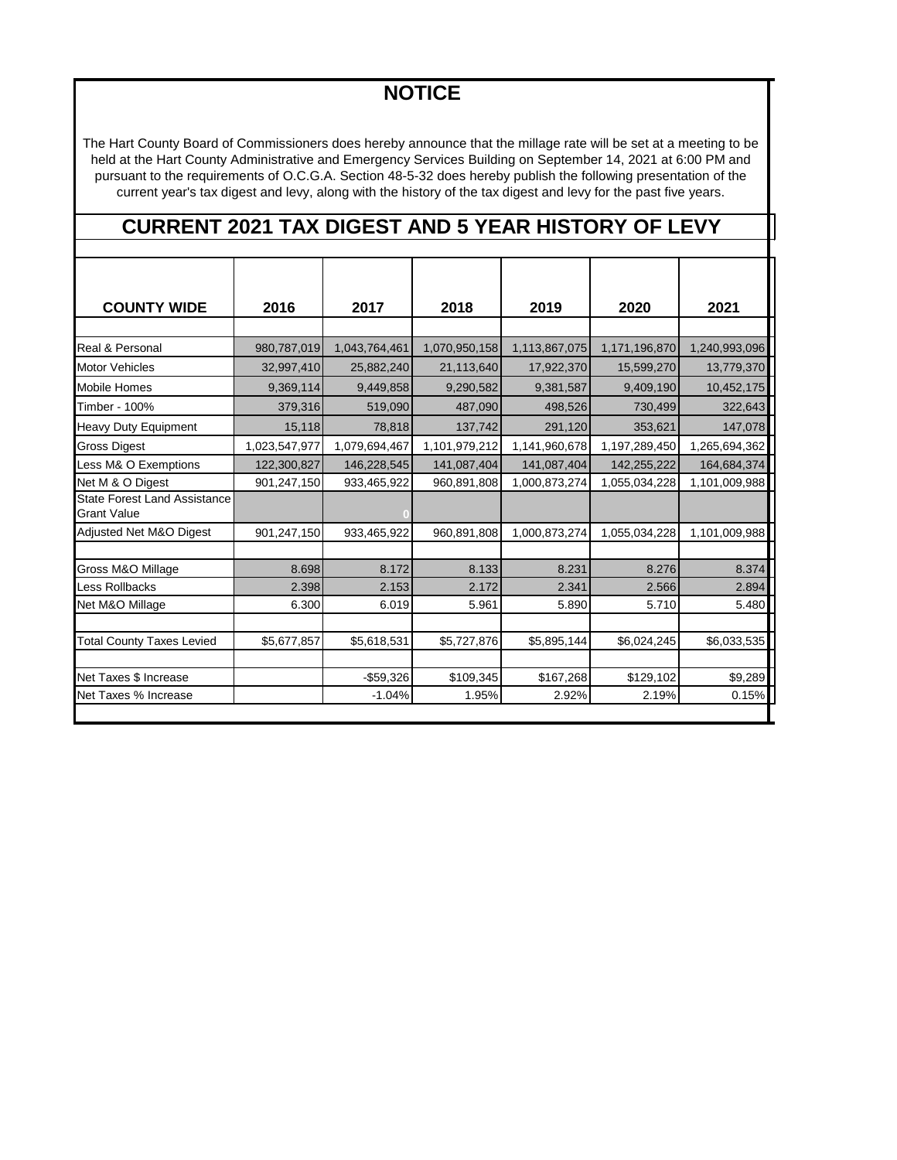## **NOTICE**

The Hart County Board of Commissioners does hereby announce that the millage rate will be set at a meeting to be held at the Hart County Administrative and Emergency Services Building on September 14, 2021 at 6:00 PM and pursuant to the requirements of O.C.G.A. Section 48-5-32 does hereby publish the following presentation of the current year's tax digest and levy, along with the history of the tax digest and levy for the past five years.

## **CURRENT 2021 TAX DIGEST AND 5 YEAR HISTORY OF LEVY**

| <b>COUNTY WIDE</b>                                        | 2016          | 2017          | 2018          | 2019          | 2020          | 2021          |
|-----------------------------------------------------------|---------------|---------------|---------------|---------------|---------------|---------------|
|                                                           |               |               |               |               |               |               |
| Real & Personal                                           | 980,787,019   | 1,043,764,461 | 1,070,950,158 | 1,113,867,075 | 1,171,196,870 | 1,240,993,096 |
| <b>Motor Vehicles</b>                                     | 32,997,410    | 25,882,240    | 21,113,640    | 17,922,370    | 15,599,270    | 13,779,370    |
| <b>Mobile Homes</b>                                       | 9,369,114     | 9,449,858     | 9,290,582     | 9,381,587     | 9,409,190     | 10,452,175    |
| Timber - 100%                                             | 379,316       | 519,090       | 487,090       | 498,526       | 730,499       | 322,643       |
| <b>Heavy Duty Equipment</b>                               | 15,118        | 78,818        | 137,742       | 291,120       | 353,621       | 147,078       |
| <b>Gross Digest</b>                                       | 1,023,547,977 | 1,079,694,467 | 1,101,979,212 | 1,141,960,678 | 1,197,289,450 | 1,265,694,362 |
| Less M& O Exemptions                                      | 122,300,827   | 146,228,545   | 141,087,404   | 141,087,404   | 142,255,222   | 164,684,374   |
| Net M & O Digest                                          | 901,247,150   | 933,465,922   | 960,891,808   | 1,000,873,274 | 1,055,034,228 | 1,101,009,988 |
| <b>State Forest Land Assistance</b><br><b>Grant Value</b> |               |               |               |               |               |               |
| Adjusted Net M&O Digest                                   | 901,247,150   | 933,465,922   | 960,891,808   | 1,000,873,274 | 1,055,034,228 | 1,101,009,988 |
|                                                           |               |               |               |               |               |               |
| Gross M&O Millage                                         | 8.698         | 8.172         | 8.133         | 8.231         | 8.276         | 8.374         |
| Less Rollbacks                                            | 2.398         | 2.153         | 2.172         | 2.341         | 2.566         | 2.894         |
| Net M&O Millage                                           | 6.300         | 6.019         | 5.961         | 5.890         | 5.710         | 5.480         |
|                                                           |               |               |               |               |               |               |
| <b>Total County Taxes Levied</b>                          | \$5,677,857   | \$5,618,531   | \$5,727,876   | \$5,895,144   | \$6,024,245   | \$6,033,535   |
|                                                           |               |               |               |               |               |               |
| Net Taxes \$ Increase                                     |               | $-$59,326$    | \$109,345     | \$167,268     | \$129,102     | \$9,289       |
| Net Taxes % Increase                                      |               | $-1.04%$      | 1.95%         | 2.92%         | 2.19%         | 0.15%         |